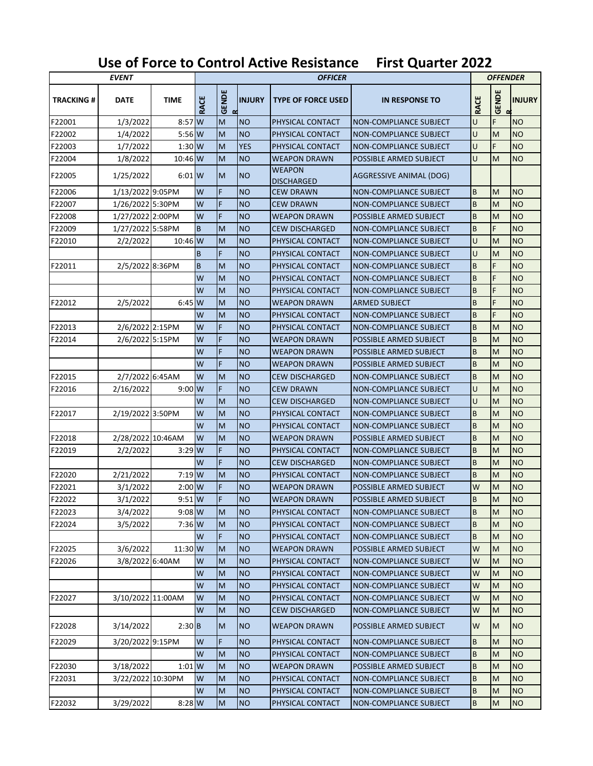## **Use of Force to Control Active Resistance First Quarter 2022**

| <b>EVENT</b>     |                   |             |             | <b>OFFICER</b>         |               |                                    |                         |             | <b>OFFENDER</b>        |               |  |
|------------------|-------------------|-------------|-------------|------------------------|---------------|------------------------------------|-------------------------|-------------|------------------------|---------------|--|
| <b>TRACKING#</b> | <b>DATE</b>       | <b>TIME</b> | <b>RACE</b> | <b>GENDE</b><br>$\sim$ | <b>INJURY</b> | <b>TYPE OF FORCE USED</b>          | <b>IN RESPONSE TO</b>   | <b>RACE</b> | <b>GENDE</b><br>$\sim$ | <b>INJURY</b> |  |
| F22001           | 1/3/2022          | 8:57        | W           | M                      | <b>NO</b>     | PHYSICAL CONTACT                   | NON-COMPLIANCE SUBJECT  | U           | F                      | <b>NO</b>     |  |
| F22002           | 1/4/2022          | $5:56$ W    |             | M                      | <b>NO</b>     | PHYSICAL CONTACT                   | NON-COMPLIANCE SUBJECT  | U           | M                      | <b>NO</b>     |  |
| F22003           | 1/7/2022          | $1:30$ W    |             | M                      | <b>YES</b>    | PHYSICAL CONTACT                   | NON-COMPLIANCE SUBJECT  | U           | F                      | <b>NO</b>     |  |
| F22004           | 1/8/2022          | 10:46 W     |             | M                      | <b>NO</b>     | <b>WEAPON DRAWN</b>                | POSSIBLE ARMED SUBJECT  | U           | M                      | <b>NO</b>     |  |
| F22005           | 1/25/2022         | $6:01$ W    |             | M                      | <b>NO</b>     | <b>WEAPON</b><br><b>DISCHARGED</b> | AGGRESSIVE ANIMAL (DOG) |             |                        |               |  |
| F22006           | 1/13/2022 9:05PM  |             | W           | F                      | <b>NO</b>     | CEW DRAWN                          | NON-COMPLIANCE SUBJECT  | B           | M                      | <b>NO</b>     |  |
| F22007           | 1/26/2022 5:30PM  |             | W           | F                      | <b>NO</b>     | CEW DRAWN                          | NON-COMPLIANCE SUBJECT  | B           | M                      | <b>NO</b>     |  |
| F22008           | 1/27/2022 2:00PM  |             | W           | F                      | <b>NO</b>     | <b>WEAPON DRAWN</b>                | POSSIBLE ARMED SUBJECT  | B           | M                      | <b>NO</b>     |  |
| F22009           | 1/27/2022 5:58PM  |             | B           | M                      | <b>NO</b>     | <b>CEW DISCHARGED</b>              | NON-COMPLIANCE SUBJECT  | B           | F                      | <b>NO</b>     |  |
| F22010           | 2/2/2022          | $10:46$ W   |             | M                      | <b>NO</b>     | PHYSICAL CONTACT                   | NON-COMPLIANCE SUBJECT  | U           | M                      | <b>NO</b>     |  |
|                  |                   |             | B           | F                      | <b>NO</b>     | PHYSICAL CONTACT                   | NON-COMPLIANCE SUBJECT  | U           | M                      | <b>NO</b>     |  |
| F22011           | 2/5/2022 8:36PM   |             | B           | M                      | <b>NO</b>     | PHYSICAL CONTACT                   | NON-COMPLIANCE SUBJECT  | B           | F                      | <b>NO</b>     |  |
|                  |                   |             | W           | M                      | <b>NO</b>     | PHYSICAL CONTACT                   | NON-COMPLIANCE SUBJECT  | B           | F                      | <b>NO</b>     |  |
|                  |                   |             | W           | M                      | <b>NO</b>     | PHYSICAL CONTACT                   | NON-COMPLIANCE SUBJECT  | B           | F                      | <b>NO</b>     |  |
| F22012           | 2/5/2022          | $6:45$ W    |             | M                      | <b>NO</b>     | <b>WEAPON DRAWN</b>                | <b>ARMED SUBJECT</b>    | B           | F                      | <b>NO</b>     |  |
|                  |                   |             | W           | M                      | <b>NO</b>     | PHYSICAL CONTACT                   | NON-COMPLIANCE SUBJECT  | B           | F                      | <b>NO</b>     |  |
| F22013           | 2/6/2022 2:15PM   |             | W           | F                      | <b>NO</b>     | PHYSICAL CONTACT                   | NON-COMPLIANCE SUBJECT  | B           | M                      | <b>NO</b>     |  |
| F22014           | 2/6/2022 5:15PM   |             | W           | F                      | <b>NO</b>     | <b>WEAPON DRAWN</b>                | POSSIBLE ARMED SUBJECT  | B           | M                      | <b>NO</b>     |  |
|                  |                   |             | W           | F                      | <b>NO</b>     | <b>WEAPON DRAWN</b>                | POSSIBLE ARMED SUBJECT  | B           | M                      | <b>NO</b>     |  |
|                  |                   |             | W           | F                      | <b>NO</b>     | <b>WEAPON DRAWN</b>                | POSSIBLE ARMED SUBJECT  | B           | M                      | <b>NO</b>     |  |
| F22015           | 2/7/2022 6:45AM   |             | W           | M                      | <b>NO</b>     | <b>CEW DISCHARGED</b>              | NON-COMPLIANCE SUBJECT  | B           | M                      | <b>NO</b>     |  |
| F22016           | 2/16/2022         | 9:00W       |             | F                      | <b>NO</b>     | <b>CEW DRAWN</b>                   | NON-COMPLIANCE SUBJECT  | U           | M                      | <b>NO</b>     |  |
|                  |                   |             | W           | M                      | <b>NO</b>     | <b>CEW DISCHARGED</b>              | NON-COMPLIANCE SUBJECT  | U           | M                      | <b>NO</b>     |  |
| F22017           | 2/19/2022 3:50PM  |             | W           | M                      | <b>NO</b>     | PHYSICAL CONTACT                   | NON-COMPLIANCE SUBJECT  | B           | M                      | <b>NO</b>     |  |
|                  |                   |             | W           | M                      | <b>NO</b>     | PHYSICAL CONTACT                   | NON-COMPLIANCE SUBJECT  | B           | M                      | <b>NO</b>     |  |
| F22018           | 2/28/2022 10:46AM |             | W           | M                      | <b>NO</b>     | <b>WEAPON DRAWN</b>                | POSSIBLE ARMED SUBJECT  | B           | M                      | <b>NO</b>     |  |
| F22019           | 2/2/2022          | 3:29        | W           | F                      | <b>NO</b>     | PHYSICAL CONTACT                   | NON-COMPLIANCE SUBJECT  | B           | M                      | <b>NO</b>     |  |
|                  |                   |             | W           | F                      | <b>NO</b>     | <b>CEW DISCHARGED</b>              | NON-COMPLIANCE SUBJECT  | B           | M                      | <b>NO</b>     |  |
| F22020           | 2/21/2022         | $7:19$ W    |             | M                      | <b>NO</b>     | PHYSICAL CONTACT                   | NON-COMPLIANCE SUBJECT  | B           | M                      | <b>NO</b>     |  |
| F22021           | 3/1/2022          | $2:00$ W    |             | F                      | <b>NO</b>     | <b>WEAPON DRAWN</b>                | POSSIBLE ARMED SUBJECT  | W           | M                      | <b>NO</b>     |  |
| F22022           | 3/1/2022          | $9:51$ W    |             | F                      | <b>NO</b>     | <b>WEAPON DRAWN</b>                | POSSIBLE ARMED SUBJECT  | B           | M                      | <b>NO</b>     |  |
| F22023           | 3/4/2022          | $9:08$ W    |             | M                      | <b>NO</b>     | PHYSICAL CONTACT                   | NON-COMPLIANCE SUBJECT  | B           | M                      | <b>NO</b>     |  |
| F22024           | 3/5/2022          | 7:36 W      |             | M                      | <b>NO</b>     | PHYSICAL CONTACT                   | NON-COMPLIANCE SUBJECT  | B           | M                      | <b>NO</b>     |  |
|                  |                   |             | W           | F                      | <b>NO</b>     | PHYSICAL CONTACT                   | NON-COMPLIANCE SUBJECT  | B           | M                      | <b>NO</b>     |  |
| F22025           | 3/6/2022          | 11:30 W     |             | M                      | <b>NO</b>     | <b>WEAPON DRAWN</b>                | POSSIBLE ARMED SUBJECT  | W           | M                      | <b>NO</b>     |  |
| F22026           | 3/8/2022 6:40AM   |             | W           | M                      | <b>NO</b>     | PHYSICAL CONTACT                   | NON-COMPLIANCE SUBJECT  | W           | M                      | <b>NO</b>     |  |
|                  |                   |             | W           | M                      | <b>NO</b>     | PHYSICAL CONTACT                   | NON-COMPLIANCE SUBJECT  | W           | M                      | <b>NO</b>     |  |
|                  |                   |             | W           | M                      | <b>NO</b>     | PHYSICAL CONTACT                   | NON-COMPLIANCE SUBJECT  | W           | M                      | <b>NO</b>     |  |
| F22027           | 3/10/2022 11:00AM |             | W           | M                      | <b>NO</b>     | PHYSICAL CONTACT                   | NON-COMPLIANCE SUBJECT  | W           | M                      | <b>NO</b>     |  |
|                  |                   |             | W           | M                      | <b>NO</b>     | CEW DISCHARGED                     | NON-COMPLIANCE SUBJECT  | W           | M                      | <b>NO</b>     |  |
| F22028           | 3/14/2022         | $2:30$ B    |             | M                      | <b>NO</b>     | <b>WEAPON DRAWN</b>                | POSSIBLE ARMED SUBJECT  | W           | M                      | <b>NO</b>     |  |
| F22029           | 3/20/2022 9:15PM  |             | W           | F                      | <b>NO</b>     | PHYSICAL CONTACT                   | NON-COMPLIANCE SUBJECT  | B           | M                      | <b>NO</b>     |  |
|                  |                   |             | W           | M                      | <b>NO</b>     | PHYSICAL CONTACT                   | NON-COMPLIANCE SUBJECT  | B           | M                      | <b>NO</b>     |  |
| F22030           | 3/18/2022         | $1:01$ W    |             | M                      | <b>NO</b>     | <b>WEAPON DRAWN</b>                | POSSIBLE ARMED SUBJECT  | B           | M                      | <b>NO</b>     |  |
| F22031           | 3/22/2022 10:30PM |             | W           | M                      | <b>NO</b>     | PHYSICAL CONTACT                   | NON-COMPLIANCE SUBJECT  | B           | M                      | <b>NO</b>     |  |
|                  |                   |             | W           | M                      | <b>NO</b>     | PHYSICAL CONTACT                   | NON-COMPLIANCE SUBJECT  | B           | M                      | <b>NO</b>     |  |
| F22032           | 3/29/2022         | 8:28 W      |             | M                      | <b>NO</b>     | PHYSICAL CONTACT                   | NON-COMPLIANCE SUBJECT  | В           | M                      | NO            |  |